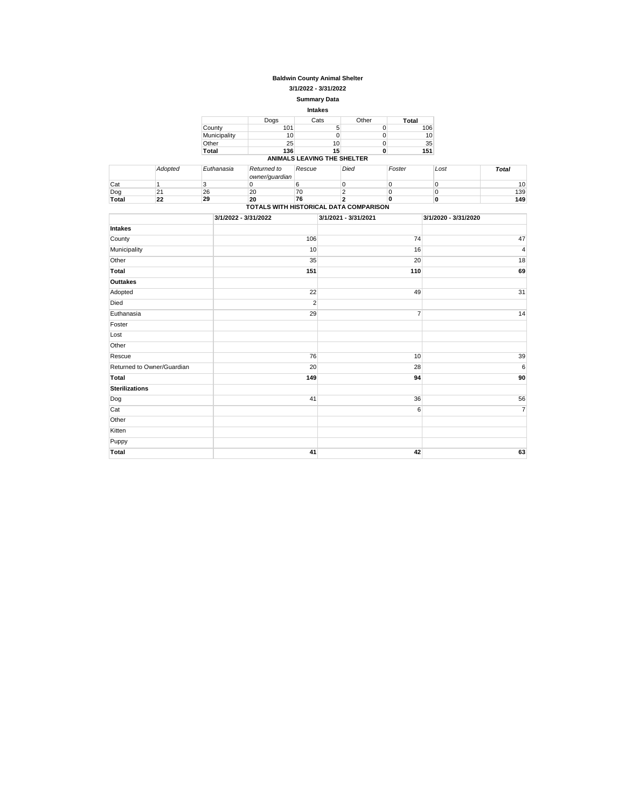#### **Baldwin County Animal Shelter**

**3/1/2022 - 3/31/2022**

#### **Summary Data**

| <b>Intakes</b> |      |                             |       |                 |  |  |
|----------------|------|-----------------------------|-------|-----------------|--|--|
|                | Dogs | Cats                        | Other | Total           |  |  |
| County         | 101  | 5                           |       | 106             |  |  |
| Municipality   | 10   |                             |       | 10 <sup>1</sup> |  |  |
| Other          | 25   | 10                          |       | 35              |  |  |
| Total          | 136  | 15                          |       | 151             |  |  |
|                |      | ANIMALS LEAVING THE SHELTER |       |                 |  |  |

|                                        | Adopted      | Euthanasia | Returned to<br>owner/quardian | Rescue | Died | Foster | Lost | Total           |
|----------------------------------------|--------------|------------|-------------------------------|--------|------|--------|------|-----------------|
| Cat                                    |              |            |                               |        |      |        |      | 10 <sub>1</sub> |
| Dog                                    | $2^{\prime}$ | 26         | 20                            | 70     |      |        |      | 139             |
| Total                                  | 22           | 29         | 20                            | 76     |      |        |      | 149             |
| TOTALS WITH HISTORICAL DATA COMPARISON |              |            |                               |        |      |        |      |                 |

|                            | 3/1/2022 - 3/31/2022 | 3/1/2021 - 3/31/2021 | 3/1/2020 - 3/31/2020 |
|----------------------------|----------------------|----------------------|----------------------|
| <b>Intakes</b>             |                      |                      |                      |
| County                     | 106                  | 74                   | 47                   |
| Municipality               | 10                   | 16                   | 4                    |
| Other                      | 35                   | 20                   | 18                   |
| Total                      | 151                  | 110                  | 69                   |
| Outtakes                   |                      |                      |                      |
| Adopted                    | 22                   | 49                   | 31                   |
| Died                       | $\overline{2}$       |                      |                      |
| Euthanasia                 | 29                   | $\overline{7}$       | 14                   |
| Foster                     |                      |                      |                      |
| Lost                       |                      |                      |                      |
| Other                      |                      |                      |                      |
| Rescue                     | 76                   | 10                   | 39                   |
| Returned to Owner/Guardian | 20                   | 28                   | 6                    |
| <b>Total</b>               | 149                  | 94                   | 90                   |
| <b>Sterilizations</b>      |                      |                      |                      |
| Dog                        | 41                   | 36                   | 56                   |
| Cat                        |                      | 6                    | $\overline{7}$       |
| Other                      |                      |                      |                      |
| Kitten                     |                      |                      |                      |
| Puppy                      |                      |                      |                      |
| Total                      | 41                   | 42                   | 63                   |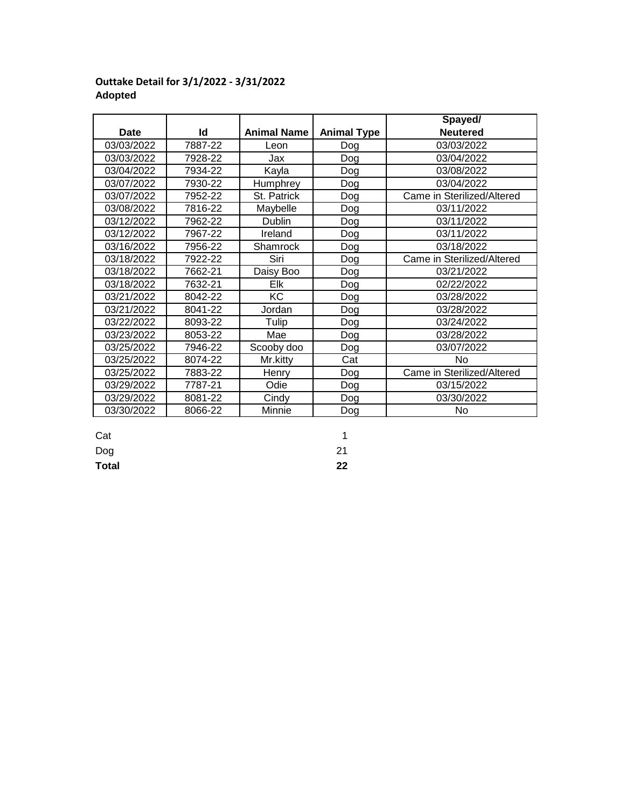|            |         |                    |                    | Spayed/                    |
|------------|---------|--------------------|--------------------|----------------------------|
| Date       | Id      | <b>Animal Name</b> | <b>Animal Type</b> | <b>Neutered</b>            |
| 03/03/2022 | 7887-22 | Leon               | Dog                | 03/03/2022                 |
| 03/03/2022 | 7928-22 | Jax                | Dog                | 03/04/2022                 |
| 03/04/2022 | 7934-22 | Kayla              | Dog                | 03/08/2022                 |
| 03/07/2022 | 7930-22 | Humphrey           | Dog                | 03/04/2022                 |
| 03/07/2022 | 7952-22 | St. Patrick        | Dog                | Came in Sterilized/Altered |
| 03/08/2022 | 7816-22 | Maybelle           | Dog                | 03/11/2022                 |
| 03/12/2022 | 7962-22 | Dublin             | Dog                | 03/11/2022                 |
| 03/12/2022 | 7967-22 | Ireland            | Dog                | 03/11/2022                 |
| 03/16/2022 | 7956-22 | Shamrock           | Dog                | 03/18/2022                 |
| 03/18/2022 | 7922-22 | Siri               | Dog                | Came in Sterilized/Altered |
| 03/18/2022 | 7662-21 | Daisy Boo          | Dog                | 03/21/2022                 |
| 03/18/2022 | 7632-21 | Elk                | Dog                | 02/22/2022                 |
| 03/21/2022 | 8042-22 | <b>KC</b>          | Dog                | 03/28/2022                 |
| 03/21/2022 | 8041-22 | Jordan             | Dog                | 03/28/2022                 |
| 03/22/2022 | 8093-22 | Tulip              | Dog                | 03/24/2022                 |
| 03/23/2022 | 8053-22 | Mae                | Dog                | 03/28/2022                 |
| 03/25/2022 | 7946-22 | Scooby doo         | Dog                | 03/07/2022                 |
| 03/25/2022 | 8074-22 | Mr.kitty           | Cat                | No                         |
| 03/25/2022 | 7883-22 | Henry              | Dog                | Came in Sterilized/Altered |
| 03/29/2022 | 7787-21 | Odie               | Dog                | 03/15/2022                 |
| 03/29/2022 | 8081-22 | Cindy              | Dog                | 03/30/2022                 |
| 03/30/2022 | 8066-22 | Minnie             | Dog                | No                         |

# **Outtake Detail for 3/1/2022 - 3/31/2022 Adopted**

Dog 21 Cat and the contract of the contract of the contract of the contract of the contract of the contract of the contract of the contract of the contract of the contract of the contract of the contract of the contract of the co

**Total 22**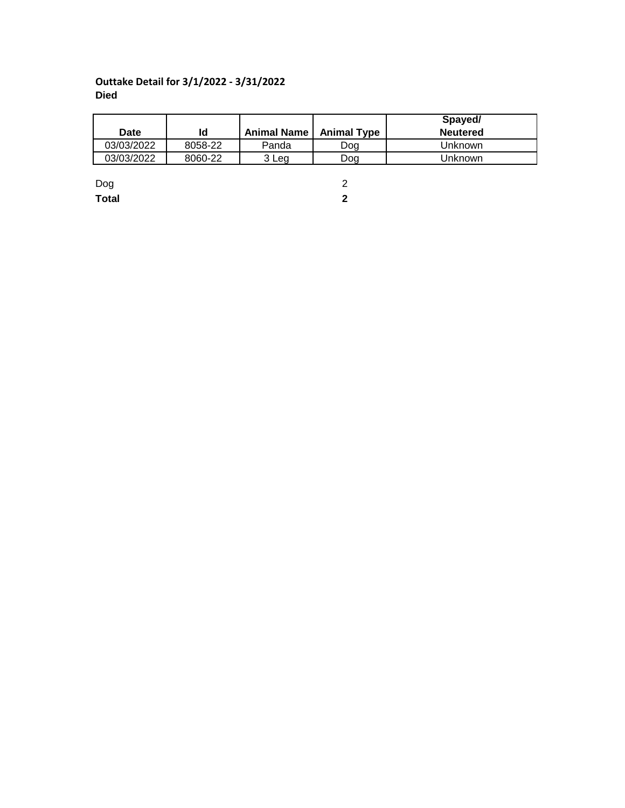## **Outtake Detail for 3/1/2022 - 3/31/2022 Died**

|            |         |                           |     | Spayed/         |
|------------|---------|---------------------------|-----|-----------------|
| Date       | Id      | Animal Name   Animal Type |     | <b>Neutered</b> |
| 03/03/2022 | 8058-22 | Panda                     | Dog | Unknown         |
| 03/03/2022 | 8060-22 | 3 Leg                     | Doa | Unknown         |
|            |         |                           |     |                 |

Dog 2 **Total 2**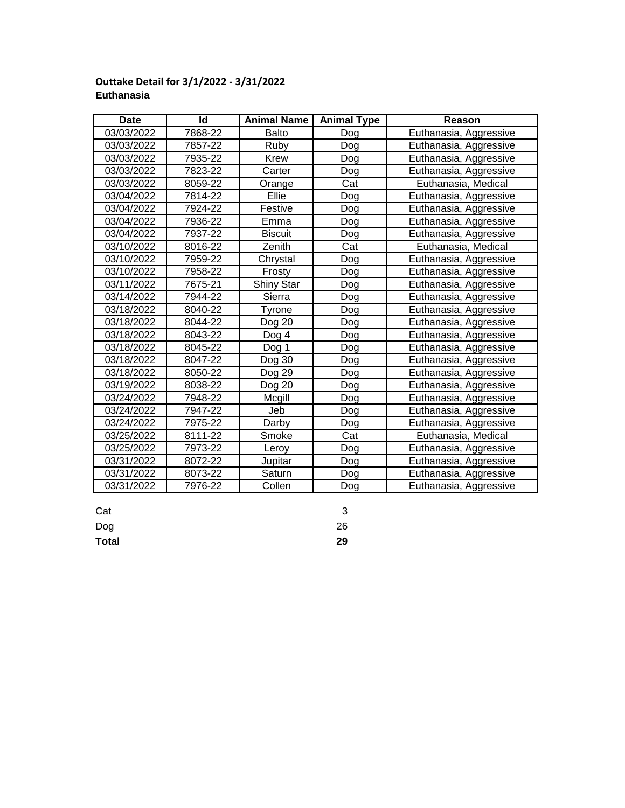#### **Date Id Reason Animal Name Animal Type**03/03/2022 | 7868-22 | Balto | Dog | Euthanasia, Aggressive 03/03/2022 | 7857-22 | Ruby | Dog | Euthanasia, Aggressive 03/03/2022 | 7935-22 | Krew | Dog | Euthanasia, Aggressive 03/03/2022 | 7823-22 | Carter | Dog | Euthanasia, Aggressive 03/03/2022 | 8059-22 | Orange | Cat | Euthanasia, Medical 03/04/2022 | 7814-22 | Ellie | Dog | Euthanasia, Aggressive 03/04/2022 | 7924-22 | Festive | Dog | Euthanasia, Aggressive 03/04/2022 | 7936-22 | Emma | Dog | Euthanasia, Aggressive 03/04/2022 | 7937-22 | Biscuit | Dog | Euthanasia, Aggressive 03/10/2022 8016-22 Zenith Cat Euthanasia, Medical 03/10/2022 | 7959-22 | Chrystal | Dog | Euthanasia, Aggressive 03/10/2022 | 7958-22 | Frosty | Dog | Euthanasia, Aggressive 03/11/2022 | 7675-21 | Shiny Star | Dog | Euthanasia, Aggressive 03/14/2022 7944-22 | Sierra | Dog | Euthanasia, Aggressive 03/18/2022 | 8040-22 | Tyrone | Dog | Euthanasia, Aggressive 03/18/2022 | 8044-22 | Dog 20 | Dog | Euthanasia, Aggressive 03/18/2022 | 8043-22 | Dog 4 | Dog | Euthanasia, Aggressive 03/18/2022 | 8045-22 | Dog 1 | Dog | Euthanasia, Aggressive 03/18/2022 8047-22 Dog 30 Dog Euthanasia, Aggressive 03/18/2022 | 8050-22 | Dog 29 | Dog | Euthanasia, Aggressive 03/19/2022 | 8038-22 | Dog 20 | Dog | Euthanasia, Aggressive 03/24/2022 | 7948-22 | Mcgill | Dog | Euthanasia, Aggressive 03/24/2022 | 7947-22 | Jeb | Dog | Euthanasia, Aggressive 03/24/2022 | 7975-22 | Darby | Dog | Euthanasia, Aggressive 03/25/2022 | 8111-22 | Smoke | Cat | Euthanasia, Medical 03/25/2022 7973-22 Leroy Dog Euthanasia, Aggressive 03/31/2022 | 8072-22 | Jupitar | Dog | Euthanasia, Aggressive 03/31/2022 | 8073-22 | Saturn | Dog | Euthanasia, Aggressive 03/31/2022 | 7976-22 | Collen | Dog | Euthanasia, Aggressive Saturn Collen Smoke Leroy Jupitar Mcgill Dog Darby  $D$ og 30 Dog 29 Dog 20 Dog  $20$  $Dog<sub>4</sub>$ Dog  $1$ Shiny Star Sierra Tyrone Zenith Chrystal Frosty Festive Emma **Biscuit** Carter Orange Ellie Balto Ruby Krew

### **Outtake Detail for 3/1/2022 - 3/31/2022 Euthanasia**

Cat 3

Dog 26

**Total 29**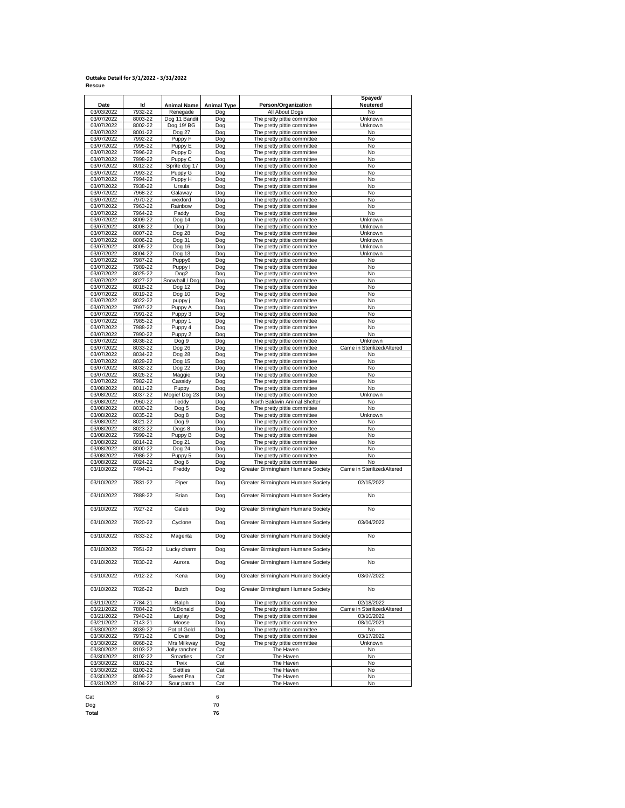# **Outtake Detail for 3/1/2022 - 3/31/2022 Rescue**

|                          |                    |                         |                    |                                                            | Spayed/                    |
|--------------------------|--------------------|-------------------------|--------------------|------------------------------------------------------------|----------------------------|
| Date                     | ld                 | Animal Name             | <b>Animal Type</b> | Person/Organization                                        | Neutered                   |
| 03/03/2022               | 7932-22            | Renegade                | Dog                | All About Dogs                                             | No                         |
| 03/07/2022               | 8003-22            | Dog 11 Bandit           | Dog                | The pretty pittie committee                                | Unknown                    |
| 03/07/2022               | 8002-22            | Dog 19/BG               | Dog                | The pretty pittie committee                                | Unknown                    |
| 03/07/2022               | 8001-22            | Dog 27                  | Dog                | The pretty pittie committee                                | No                         |
| 03/07/2022<br>03/07/2022 | 7992-22<br>7995-22 | Puppy F                 | Dog<br>Dog         | The pretty pittie committee                                | No<br>No                   |
| 03/07/2022               | 7996-22            | Puppy E<br>Puppy D      | Dog                | The pretty pittie committee<br>The pretty pittie committee | No                         |
| 03/07/2022               | 7998-22            | Puppy C                 | Dog                | The pretty pittie committee                                | <b>No</b>                  |
| 03/07/2022               | 8012-22            | Sprite dog 17           | Dog                | The pretty pittie committee                                | No                         |
| 03/07/2022               | 7993-22            | Puppy G                 | Dog                | The pretty pittie committee                                | No                         |
| 03/07/2022               | 7994-22            | Puppy H                 | Dog                | The pretty pittie committee                                | No                         |
| 03/07/2022               | 7938-22            | Ursula                  | Dog                | The pretty pittie committee                                | No                         |
| 03/07/2022               | 7968-22            | Galaway                 | Dog                | The pretty pittie committee                                | <b>No</b>                  |
| 03/07/2022               | 7970-22            | wexford                 | Dog                | The pretty pittie committee                                | No                         |
| 03/07/2022               | 7963-22            | Rainbow                 | Dog                | The pretty pittie committee                                | No                         |
| 03/07/2022               | 7964-22            | Paddy                   | Dog                | The pretty pittie committee                                | No                         |
| 03/07/2022               | 8009-22            | Dog 14                  | Dog                | The pretty pittie committee                                | Unknown                    |
| 03/07/2022               | 8008-22            | Dog 7                   | Dog                | The pretty pittie committee                                | Unknown                    |
| 03/07/2022               | 8007-22            | Dog 28                  | Dog                | The pretty pittie committee                                | Unknown                    |
| 03/07/2022               | 8006-22            | Dog 31                  | Dog                | The pretty pittie committee                                | Unknown                    |
| 03/07/2022               | 8005-22            | Dog 16                  | Dog                | The pretty pittie committee                                | Unknown                    |
| 03/07/2022               | 8004-22            | Dog 13                  | Dog                | The pretty pittie committee                                | Unknown                    |
| 03/07/2022               | 7987-22            | Puppy6                  | Dog                | The pretty pittie committee                                | No                         |
| 03/07/2022               | 7989-22<br>8025-22 | Puppy I                 | Dog                | The pretty pittie committee                                | No<br>No                   |
| 03/07/2022               |                    | Dog2<br>Snowball / Dog  | Dog<br>Dog         | The pretty pittie committee                                | No                         |
| 03/07/2022<br>03/07/2022 | 8027-22<br>8018-22 | Dog 12                  | Dog                | The pretty pittie committee<br>The pretty pittie committee | No                         |
| 03/07/2022               | 8019-22            | Dog 10                  | Dog                | The pretty pittie committee                                | No                         |
| 03/07/2022               | 8022-22            | puppy j                 | Dog                | The pretty pittie committee                                | No                         |
| 03/07/2022               | 7997-22            | Puppy A                 | Dog                | The pretty pittie committee                                | No                         |
| 03/07/2022               | 7991-22            | Puppy 3                 | Dog                | The pretty pittie committee                                | No                         |
| 03/07/2022               | 7985-22            | Puppy 1                 | Dog                | The pretty pittie committee                                | No                         |
| 03/07/2022               | 7988-22            | Puppy 4                 | Dog                | The pretty pittie committee                                | No                         |
| 03/07/2022               | 7990-22            | Puppy <sub>2</sub>      | Dog                | The pretty pittie committee                                | No                         |
| 03/07/2022               | 8036-22            | Dog 9                   | Dog                | The pretty pittie committee                                | Unknown                    |
| 03/07/2022               | 8033-22            | Dog 26                  | Dog                | The pretty pittie committee                                | Came in Sterilized/Altered |
| 03/07/2022               | 8034-22            | Dog 28                  | Dog                | The pretty pittie committee                                | No                         |
| 03/07/2022               | 8029-22            | Dog 15                  | Dog                | The pretty pittie committee                                | No                         |
| 03/07/2022               | 8032-22            | Dog 22                  | Dog                | The pretty pittie committee                                | No                         |
| 03/07/2022               | 8026-22            | Maggie                  | Dog                | The pretty pittie committee                                | No                         |
| 03/07/2022               | 7982-22            | Cassidy                 | Dog                | The pretty pittie committee                                | No                         |
| 03/08/2022               | 8011-22            | Puppy                   | Dog                | The pretty pittie committee                                | No                         |
| 03/08/2022               | 8037-22            | Mogie/Dog 23            | Dog                | The pretty pittie committee                                | Unknown                    |
| 03/08/2022               | 7960-22            | Teddy                   | Dog                | North Baldwin Animal Shelter                               | No                         |
| 03/08/2022               | 8030-22            | Dog 5                   | Dog                | The pretty pittie committee                                | No                         |
| 03/08/2022               | 8035-22            | Dog 8                   | Dog                | The pretty pittie committee                                | Unknown                    |
| 03/08/2022               | 8021-22            | Dog 9                   | Dog                | The pretty pittie committee                                | No                         |
| 03/08/2022<br>03/08/2022 | 8023-22<br>7999-22 | Dogs 8<br>Puppy B       | Dog<br>Dog         | The pretty pittie committee<br>The pretty pittie committee | No<br>No                   |
| 03/08/2022               | 8014-22            | Dog 21                  | Dog                | The pretty pittie committee                                | No                         |
| 03/08/2022               | 8000-22            | Dog 24                  | Dog                | The pretty pittie committee                                | No                         |
| 03/08/2022               | 7986-22            | Puppy 5                 | Dog                | The pretty pittie committee                                | No                         |
| 03/08/2022               | 8024-22            | Dog 6                   | Dog                | The pretty pittie committee                                | No                         |
| 03/10/2022               | 7494-21            | Freddy                  | Dog                | Greater Birmingham Humane Society                          | Came in Sterilized/Altered |
|                          |                    |                         |                    |                                                            |                            |
| 03/10/2022               | 7831-22            | Piper                   | Dog                | Greater Birmingham Humane Society                          | 02/15/2022                 |
| 03/10/2022               | 7888-22            | <b>Brian</b>            | Dog                | Greater Birmingham Humane Society                          | No                         |
|                          |                    |                         |                    |                                                            |                            |
| 03/10/2022               | 7927-22            | Caleb                   | Dog                | Greater Birmingham Humane Society                          | No                         |
| 03/10/2022               | 7920-22            | Cyclone                 | Dog                | Greater Birmingham Humane Society                          | 03/04/2022                 |
| 03/10/2022               | 7833-22            | Magenta                 | Dog                | Greater Birmingham Humane Society                          | No                         |
|                          |                    |                         |                    |                                                            |                            |
| 03/10/2022               | 7951-22            | Lucky charm             | Dog                | Greater Birmingham Humane Society                          | No                         |
| 03/10/2022               | 7830-22            | Aurora                  | Dog                | Greater Birmingham Humane Society                          | No                         |
| 03/10/2022               | 7912-22            | Kena                    | Dog                | Greater Birmingham Humane Society                          | 03/07/2022                 |
|                          |                    |                         |                    |                                                            |                            |
| 03/10/2022               | 7826-22            | <b>Butch</b>            | Dog                | Greater Birmingham Humane Society                          | No                         |
| 03/11/2022               | 7784-21            | Ralph                   | Dog                | The pretty pittie committee                                | 02/18/2022                 |
| 03/21/2022               | 7884-22            | McDonald                | Dog                | The pretty pittie committee                                | Came in Sterilized/Altered |
| 03/21/2022               | 7940-22            | Laylay                  | Dog                | The pretty pittie committee                                | 03/10/2022                 |
| 03/21/2022               | 7143-21            | Moose                   | Dog                | The pretty pittie committee                                | 08/10/2021                 |
| 03/30/2022               | 8039-22            | Pot of Gold             | Dog                | The pretty pittie committee                                | No                         |
| 03/30/2022               | 7971-22            | Clover                  | Dog                | The pretty pittie committee                                | 03/17/2022                 |
| 03/30/2022<br>03/30/2022 | 8068-22            | Mrs Milkway             | Dog                | The pretty pittie committee                                | Unknown                    |
|                          | 8103-22<br>8102-22 | Jolly rancher           | Cat                | The Haven<br>The Haven                                     | No<br>No                   |
| 03/30/2022<br>03/30/2022 | 8101-22            | <b>Smarties</b><br>Twix | Cat<br>Cat         | The Haven                                                  | No                         |
| 03/30/2022               | 8100-22            | <b>Skittles</b>         | Cat                | The Haven                                                  | No                         |
| 03/30/2022               | 8099-22            | Sweet Pea               | Cat                | The Haven                                                  | No                         |
| 03/31/2022               | 8104-22            | Sour patch              | Cat                | The Haven                                                  | No                         |
|                          |                    |                         |                    |                                                            |                            |

Cat 6

Dog 70 **Total 76**